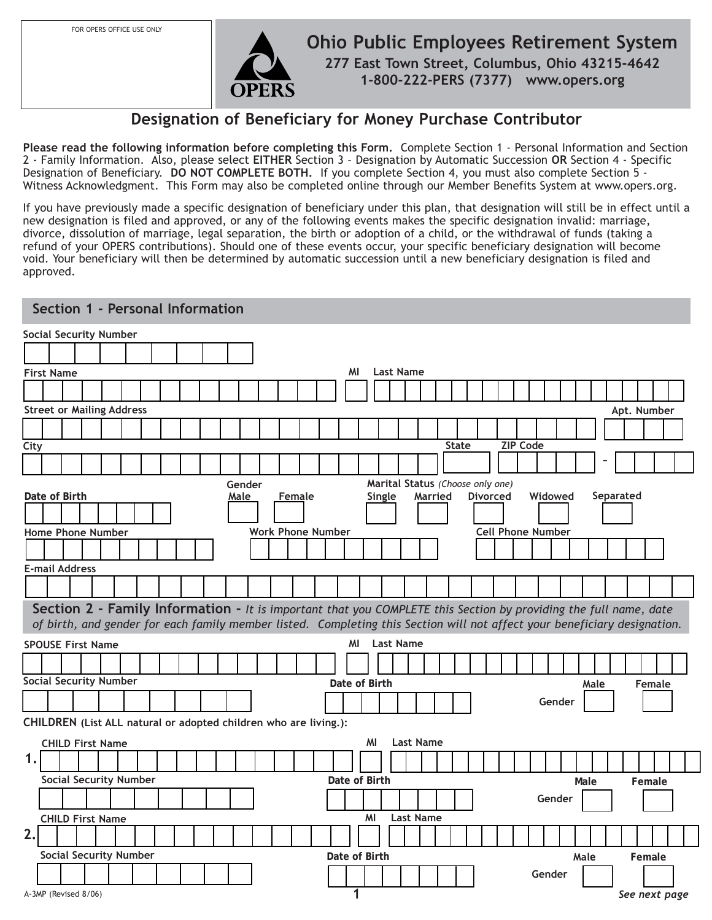FOR OPERS OFFICE USE ONLY



**1** *See next page*

# **Designation of Beneficiary for Money Purchase Contributor**

**Please read the following information before completing this Form.** Complete Section 1 - Personal Information and Section 2 - Family Information. Also, please select **EITHER** Section 3 – Designation by Automatic Succession **OR** Section 4 - Specific Designation of Beneficiary. DO NOT COMPLETE BOTH. If you complete Section 4, you must also complete Section 5 -Witness Acknowledgment. This Form may also be completed online through our Member Benefits System at www.opers.org.

If you have previously made a specific designation of beneficiary under this plan, that designation will still be in effect until a new designation is filed and approved, or any of the following events makes the specific designation invalid: marriage, divorce, dissolution of marriage, legal separation, the birth or adoption of a child, or the withdrawal of funds (taking a refund of your OPERS contributions). Should one of these events occur, your specific beneficiary designation will become void. Your beneficiary will then be determined by automatic succession until a new beneficiary designation is filed and approved.

|      |                       | Section 1 - Personal Information                                                                                          |  |  |                |  |        |                          |    |                                            |                  |         |              |                 |                          |         |      |           |               |  |
|------|-----------------------|---------------------------------------------------------------------------------------------------------------------------|--|--|----------------|--|--------|--------------------------|----|--------------------------------------------|------------------|---------|--------------|-----------------|--------------------------|---------|------|-----------|---------------|--|
|      |                       | <b>Social Security Number</b>                                                                                             |  |  |                |  |        |                          |    |                                            |                  |         |              |                 |                          |         |      |           |               |  |
|      |                       |                                                                                                                           |  |  |                |  |        |                          |    |                                            |                  |         |              |                 |                          |         |      |           |               |  |
|      | <b>First Name</b>     |                                                                                                                           |  |  |                |  |        |                          | MI | <b>Last Name</b>                           |                  |         |              |                 |                          |         |      |           |               |  |
|      |                       |                                                                                                                           |  |  |                |  |        |                          |    |                                            |                  |         |              |                 |                          |         |      |           |               |  |
|      |                       | <b>Street or Mailing Address</b>                                                                                          |  |  |                |  |        |                          |    |                                            |                  |         |              |                 |                          |         |      |           |               |  |
|      |                       |                                                                                                                           |  |  |                |  |        |                          |    |                                            |                  |         |              |                 |                          |         |      |           | Apt. Number   |  |
| City |                       |                                                                                                                           |  |  |                |  |        |                          |    |                                            |                  |         | <b>State</b> |                 | <b>ZIP Code</b>          |         |      |           |               |  |
|      |                       |                                                                                                                           |  |  |                |  |        |                          |    |                                            |                  |         |              |                 |                          |         |      |           |               |  |
|      |                       |                                                                                                                           |  |  |                |  |        |                          |    |                                            |                  |         |              |                 |                          |         |      |           |               |  |
|      | Date of Birth         |                                                                                                                           |  |  | Gender<br>Male |  | Female |                          |    | Marital Status (Choose only one)<br>Single |                  | Married |              | <b>Divorced</b> |                          | Widowed |      | Separated |               |  |
|      |                       |                                                                                                                           |  |  |                |  |        |                          |    |                                            |                  |         |              |                 |                          |         |      |           |               |  |
|      |                       | <b>Home Phone Number</b>                                                                                                  |  |  |                |  |        | <b>Work Phone Number</b> |    |                                            |                  |         |              |                 | <b>Cell Phone Number</b> |         |      |           |               |  |
|      |                       |                                                                                                                           |  |  |                |  |        |                          |    |                                            |                  |         |              |                 |                          |         |      |           |               |  |
|      | <b>E-mail Address</b> |                                                                                                                           |  |  |                |  |        |                          |    |                                            |                  |         |              |                 |                          |         |      |           |               |  |
|      |                       |                                                                                                                           |  |  |                |  |        |                          |    |                                            |                  |         |              |                 |                          |         |      |           |               |  |
|      |                       |                                                                                                                           |  |  |                |  |        |                          |    |                                            |                  |         |              |                 |                          |         |      |           |               |  |
|      |                       | Section 2 - Family Information - It is important that you COMPLETE this Section by providing the full name, date          |  |  |                |  |        |                          |    |                                            |                  |         |              |                 |                          |         |      |           |               |  |
|      |                       | of birth, and gender for each family member listed. Completing this Section will not affect your beneficiary designation. |  |  |                |  |        |                          |    |                                            |                  |         |              |                 |                          |         |      |           |               |  |
|      |                       | <b>SPOUSE First Name</b>                                                                                                  |  |  |                |  |        |                          | ΜI | <b>Last Name</b>                           |                  |         |              |                 |                          |         |      |           |               |  |
|      |                       |                                                                                                                           |  |  |                |  |        |                          |    |                                            |                  |         |              |                 |                          |         |      |           |               |  |
|      |                       | <b>Social Security Number</b>                                                                                             |  |  |                |  |        |                          |    | Date of Birth                              |                  |         |              |                 |                          |         | Male |           | <b>Female</b> |  |
|      |                       |                                                                                                                           |  |  |                |  |        |                          |    |                                            |                  |         |              |                 |                          | Gender  |      |           |               |  |
|      |                       | CHILDREN (List ALL natural or adopted children who are living.):                                                          |  |  |                |  |        |                          |    |                                            |                  |         |              |                 |                          |         |      |           |               |  |
|      |                       | <b>CHILD First Name</b>                                                                                                   |  |  |                |  |        |                          |    | ΜI                                         | <b>Last Name</b> |         |              |                 |                          |         |      |           |               |  |
| 1.   |                       |                                                                                                                           |  |  |                |  |        |                          |    |                                            |                  |         |              |                 |                          |         |      |           |               |  |
|      |                       | <b>Social Security Number</b>                                                                                             |  |  |                |  |        |                          |    | Date of Birth                              |                  |         |              |                 |                          |         | Male |           | Female        |  |
|      |                       |                                                                                                                           |  |  |                |  |        |                          |    |                                            |                  |         |              |                 |                          | Gender  |      |           |               |  |
|      |                       |                                                                                                                           |  |  |                |  |        |                          |    |                                            |                  |         |              |                 |                          |         |      |           |               |  |
| 2.   |                       | <b>CHILD First Name</b>                                                                                                   |  |  |                |  |        |                          |    | MI                                         | <b>Last Name</b> |         |              |                 |                          |         |      |           |               |  |
|      |                       |                                                                                                                           |  |  |                |  |        |                          |    |                                            |                  |         |              |                 |                          |         |      |           |               |  |
|      |                       | <b>Social Security Number</b>                                                                                             |  |  |                |  |        |                          |    | Date of Birth                              |                  |         |              |                 |                          |         | Male |           | Female        |  |
|      |                       |                                                                                                                           |  |  |                |  |        |                          |    |                                            |                  |         |              |                 |                          | Gender  |      |           |               |  |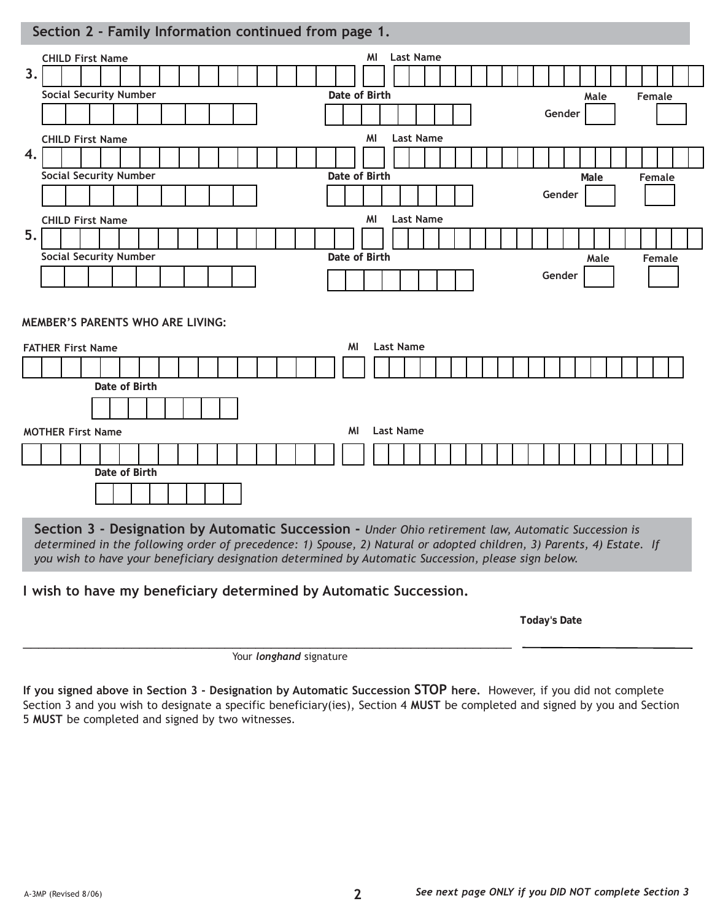### **Section 2 - Family Information continued from page 1.**

|    | <b>CHILD First Name</b>                                             |               |  |  |  |  |  |  |    | MI            | <b>Last Name</b> |  |  |  |  |        |      |      |  |        |        |  |
|----|---------------------------------------------------------------------|---------------|--|--|--|--|--|--|----|---------------|------------------|--|--|--|--|--------|------|------|--|--------|--------|--|
| 3. |                                                                     |               |  |  |  |  |  |  |    |               |                  |  |  |  |  |        |      |      |  |        |        |  |
|    | <b>Social Security Number</b>                                       |               |  |  |  |  |  |  |    | Date of Birth |                  |  |  |  |  |        |      | Male |  | Female |        |  |
|    |                                                                     |               |  |  |  |  |  |  |    |               |                  |  |  |  |  | Gender |      |      |  |        |        |  |
|    | <b>CHILD First Name</b>                                             |               |  |  |  |  |  |  |    | MI            | <b>Last Name</b> |  |  |  |  |        |      |      |  |        |        |  |
| 4. |                                                                     |               |  |  |  |  |  |  |    |               |                  |  |  |  |  |        |      |      |  |        |        |  |
|    | <b>Social Security Number</b>                                       |               |  |  |  |  |  |  |    | Date of Birth |                  |  |  |  |  |        | Male |      |  |        | Female |  |
|    |                                                                     |               |  |  |  |  |  |  |    |               |                  |  |  |  |  | Gender |      |      |  |        |        |  |
|    | <b>CHILD First Name</b>                                             |               |  |  |  |  |  |  |    | MI            | <b>Last Name</b> |  |  |  |  |        |      |      |  |        |        |  |
| 5. |                                                                     |               |  |  |  |  |  |  |    |               |                  |  |  |  |  |        |      |      |  |        |        |  |
|    | <b>Social Security Number</b>                                       |               |  |  |  |  |  |  |    | Date of Birth |                  |  |  |  |  |        |      | Male |  |        | Female |  |
|    |                                                                     |               |  |  |  |  |  |  |    |               |                  |  |  |  |  | Gender |      |      |  |        |        |  |
|    | <b>MEMBER'S PARENTS WHO ARE LIVING:</b><br><b>FATHER First Name</b> |               |  |  |  |  |  |  | MI |               | <b>Last Name</b> |  |  |  |  |        |      |      |  |        |        |  |
|    |                                                                     |               |  |  |  |  |  |  |    |               |                  |  |  |  |  |        |      |      |  |        |        |  |
|    |                                                                     | Date of Birth |  |  |  |  |  |  |    |               |                  |  |  |  |  |        |      |      |  |        |        |  |
|    |                                                                     |               |  |  |  |  |  |  |    |               |                  |  |  |  |  |        |      |      |  |        |        |  |
|    |                                                                     |               |  |  |  |  |  |  |    |               |                  |  |  |  |  |        |      |      |  |        |        |  |
|    | <b>MOTHER First Name</b>                                            |               |  |  |  |  |  |  | MI |               | <b>Last Name</b> |  |  |  |  |        |      |      |  |        |        |  |
|    |                                                                     |               |  |  |  |  |  |  |    |               |                  |  |  |  |  |        |      |      |  |        |        |  |
|    |                                                                     | Date of Birth |  |  |  |  |  |  |    |               |                  |  |  |  |  |        |      |      |  |        |        |  |
|    |                                                                     |               |  |  |  |  |  |  |    |               |                  |  |  |  |  |        |      |      |  |        |        |  |

**Section 3 - Designation by Automatic Succession -** *Under Ohio retirement law, Automatic Succession is determined in the following order of precedence: 1) Spouse, 2) Natural or adopted children, 3) Parents, 4) Estate. If you wish to have your beneficiary designation determined by Automatic Succession, please sign below.*

**I wish to have my beneficiary determined by Automatic Succession.**

**Today's Date** 

\_\_\_\_\_\_\_\_\_\_\_\_\_\_\_\_\_\_\_\_\_\_\_\_\_\_\_\_\_\_\_\_\_\_\_\_\_\_\_\_\_\_\_\_\_\_\_\_\_\_\_\_\_\_\_\_\_\_\_\_\_\_\_ Your *longhand* signature

**If you signed above in Section 3 - Designation by Automatic Succession STOP here.** However, if you did not complete Section 3 and you wish to designate a specific beneficiary(ies), Section 4 **MUST** be completed and signed by you and Section 5 **MUST** be completed and signed by two witnesses*.*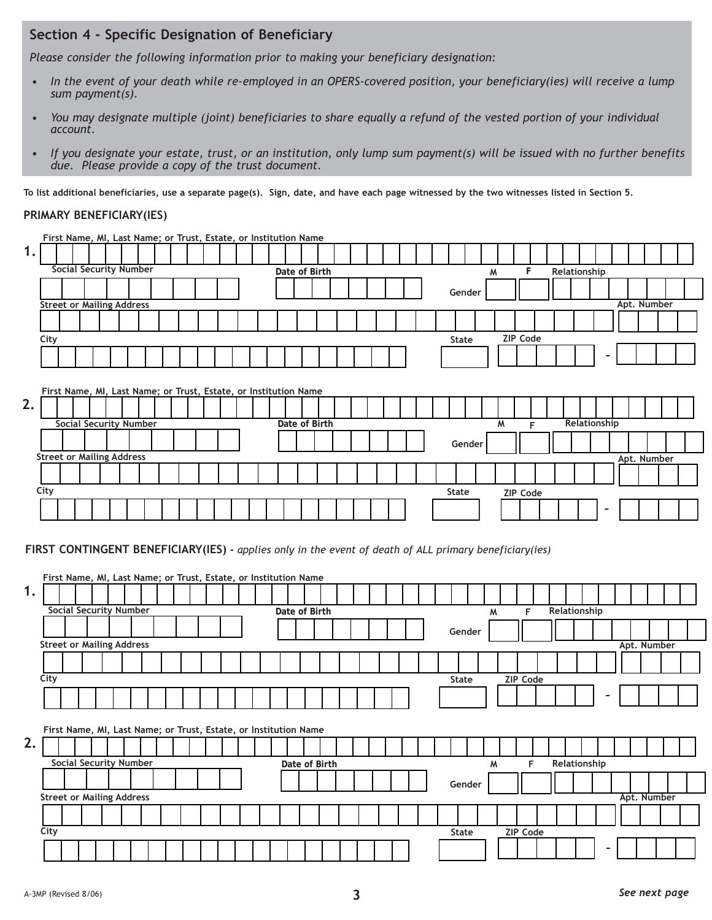## **Section 4 - Specific Designation of Beneficiary**

*Please consider the following information prior to making your beneficiary designation:*

- *In the event of your death while re-employed in an OPERS-covered position, your beneficiary(ies) will receive a lump sum payment(s).*
- *You may designate multiple (joint) beneficiaries to share equally a refund of the vested portion of your individual account.*
- *If you designate your estate, trust, or an institution, only lump sum payment(s) will be issued with no further benefits due. Please provide a copy of the trust document.*

**To list additional beneficiaries, use a separate page(s). Sign, date, and have each page witnessed by the two witnesses listed in Section 5.**

#### **PRIMARY BENEFICIARY(IES)**

|    |                                  |  |  |                               |  |  | First Name, MI, Last Name; or Trust, Estate, or Institution Name |  |  |  |               |  |  |  |  |              |   |   |                 |   |  |              |   |             |  |  |  |
|----|----------------------------------|--|--|-------------------------------|--|--|------------------------------------------------------------------|--|--|--|---------------|--|--|--|--|--------------|---|---|-----------------|---|--|--------------|---|-------------|--|--|--|
| 1. |                                  |  |  |                               |  |  |                                                                  |  |  |  |               |  |  |  |  |              |   |   |                 |   |  |              |   |             |  |  |  |
|    |                                  |  |  | <b>Social Security Number</b> |  |  |                                                                  |  |  |  | Date of Birth |  |  |  |  |              | M |   |                 | F |  | Relationship |   |             |  |  |  |
|    |                                  |  |  |                               |  |  |                                                                  |  |  |  |               |  |  |  |  | Gender       |   |   |                 |   |  |              |   |             |  |  |  |
|    | <b>Street or Mailing Address</b> |  |  |                               |  |  |                                                                  |  |  |  |               |  |  |  |  |              |   |   |                 |   |  |              |   | Apt. Number |  |  |  |
|    |                                  |  |  |                               |  |  |                                                                  |  |  |  |               |  |  |  |  |              |   |   |                 |   |  |              |   |             |  |  |  |
|    | City                             |  |  |                               |  |  |                                                                  |  |  |  |               |  |  |  |  | <b>State</b> |   |   | <b>ZIP Code</b> |   |  |              |   |             |  |  |  |
|    |                                  |  |  |                               |  |  |                                                                  |  |  |  |               |  |  |  |  |              |   |   |                 |   |  |              |   |             |  |  |  |
|    |                                  |  |  |                               |  |  | First Name, MI, Last Name; or Trust, Estate, or Institution Name |  |  |  |               |  |  |  |  |              |   |   |                 |   |  |              |   |             |  |  |  |
| 2. |                                  |  |  |                               |  |  |                                                                  |  |  |  |               |  |  |  |  |              |   |   |                 |   |  |              |   |             |  |  |  |
|    |                                  |  |  | <b>Social Security Number</b> |  |  |                                                                  |  |  |  | Date of Birth |  |  |  |  |              |   | M |                 | F |  | Relationship |   |             |  |  |  |
|    |                                  |  |  |                               |  |  |                                                                  |  |  |  |               |  |  |  |  | Gender       |   |   |                 |   |  |              |   |             |  |  |  |
|    | <b>Street or Mailing Address</b> |  |  |                               |  |  |                                                                  |  |  |  |               |  |  |  |  |              |   |   |                 |   |  |              |   | Apt. Number |  |  |  |
|    |                                  |  |  |                               |  |  |                                                                  |  |  |  |               |  |  |  |  |              |   |   |                 |   |  |              |   |             |  |  |  |
|    | City                             |  |  |                               |  |  |                                                                  |  |  |  |               |  |  |  |  | <b>State</b> |   |   | <b>ZIP Code</b> |   |  |              |   |             |  |  |  |
|    |                                  |  |  |                               |  |  |                                                                  |  |  |  |               |  |  |  |  |              |   |   |                 |   |  |              | ٠ |             |  |  |  |

**FIRST CONTINGENT BENEFICIARY(IES) -** *applies only in the event of death of ALL primary beneficiary(ies)*

|    | First Name, MI, Last Name; or Trust, Estate, or Institution Name |                               |  |  |  |  |  |  |               |               |  |  |  |              |        |   |                 |              |  |   |             |  |  |
|----|------------------------------------------------------------------|-------------------------------|--|--|--|--|--|--|---------------|---------------|--|--|--|--------------|--------|---|-----------------|--------------|--|---|-------------|--|--|
| 1. |                                                                  |                               |  |  |  |  |  |  |               |               |  |  |  |              |        |   |                 |              |  |   |             |  |  |
|    |                                                                  | <b>Social Security Number</b> |  |  |  |  |  |  | Date of Birth |               |  |  |  |              |        | M | F               | Relationship |  |   |             |  |  |
|    |                                                                  |                               |  |  |  |  |  |  |               |               |  |  |  | Gender       |        |   |                 |              |  |   |             |  |  |
|    | <b>Street or Mailing Address</b>                                 |                               |  |  |  |  |  |  |               |               |  |  |  |              |        |   |                 |              |  |   | Apt. Number |  |  |
|    |                                                                  |                               |  |  |  |  |  |  |               |               |  |  |  |              |        |   |                 |              |  |   |             |  |  |
|    | City                                                             |                               |  |  |  |  |  |  |               |               |  |  |  | <b>State</b> |        |   | <b>ZIP Code</b> |              |  |   |             |  |  |
|    |                                                                  |                               |  |  |  |  |  |  |               |               |  |  |  |              |        |   |                 |              |  |   |             |  |  |
|    | First Name, MI, Last Name; or Trust, Estate, or Institution Name |                               |  |  |  |  |  |  |               |               |  |  |  |              |        |   |                 |              |  |   |             |  |  |
| 2. |                                                                  |                               |  |  |  |  |  |  |               |               |  |  |  |              |        |   |                 |              |  |   |             |  |  |
|    |                                                                  | <b>Social Security Number</b> |  |  |  |  |  |  |               | Date of Birth |  |  |  |              |        | M | F               | Relationship |  |   |             |  |  |
|    |                                                                  |                               |  |  |  |  |  |  |               |               |  |  |  |              | Gender |   |                 |              |  |   |             |  |  |
|    | <b>Street or Mailing Address</b>                                 |                               |  |  |  |  |  |  |               |               |  |  |  |              |        |   |                 |              |  |   | Apt. Number |  |  |
|    |                                                                  |                               |  |  |  |  |  |  |               |               |  |  |  |              |        |   |                 |              |  |   |             |  |  |
|    | City                                                             |                               |  |  |  |  |  |  |               |               |  |  |  | <b>State</b> |        |   | <b>ZIP Code</b> |              |  |   |             |  |  |
|    |                                                                  |                               |  |  |  |  |  |  |               |               |  |  |  |              |        |   |                 |              |  | - |             |  |  |